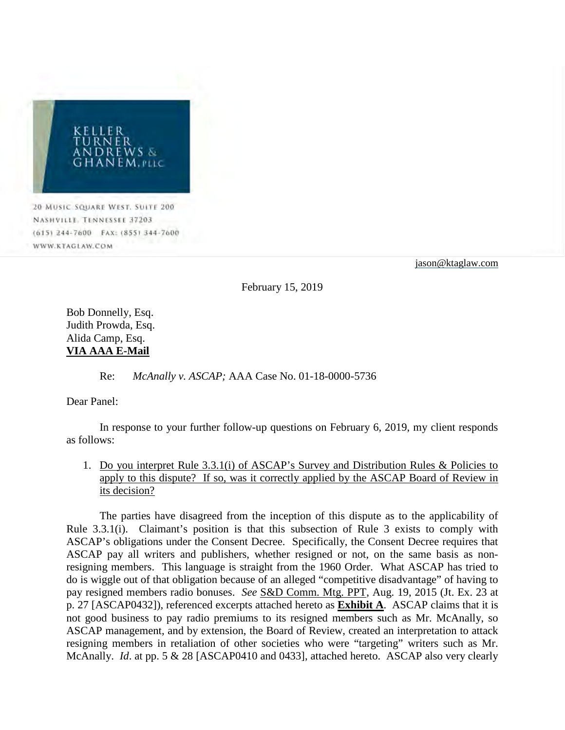

20 MUSIC SQUARE WEST. SUITE 200 NASHVILLE, TENNESSEE 37203. (615) 244-7600 FAX: (855) 344-7600 WWW.KTAGLAW.COM

[jason@ktaglaw.com](mailto:jason@ktrlawgroup.com) 

February 15, 2019

Bob Donnelly, Esq. Judith Prowda, Esq. Alida Camp, Esq. **VIA AAA E-Mail**

Re: *McAnally v. ASCAP;* AAA Case No. 01-18-0000-5736

Dear Panel:

In response to your further follow-up questions on February 6, 2019, my client responds as follows:

1. Do you interpret Rule 3.3.1(i) of ASCAP's Survey and Distribution Rules & Policies to apply to this dispute? If so, was it correctly applied by the ASCAP Board of Review in its decision?

The parties have disagreed from the inception of this dispute as to the applicability of Rule 3.3.1(i). Claimant's position is that this subsection of Rule 3 exists to comply with ASCAP's obligations under the Consent Decree. Specifically, the Consent Decree requires that ASCAP pay all writers and publishers, whether resigned or not, on the same basis as nonresigning members. This language is straight from the 1960 Order. What ASCAP has tried to do is wiggle out of that obligation because of an alleged "competitive disadvantage" of having to pay resigned members radio bonuses. *See* S&D Comm. Mtg. PPT, Aug. 19, 2015 (Jt. Ex. 23 at p. 27 [ASCAP0432]), referenced excerpts attached hereto as **Exhibit A**. ASCAP claims that it is not good business to pay radio premiums to its resigned members such as Mr. McAnally, so ASCAP management, and by extension, the Board of Review, created an interpretation to attack resigning members in retaliation of other societies who were "targeting" writers such as Mr. McAnally. *Id*. at pp. 5 & 28 [ASCAP0410 and 0433], attached hereto. ASCAP also very clearly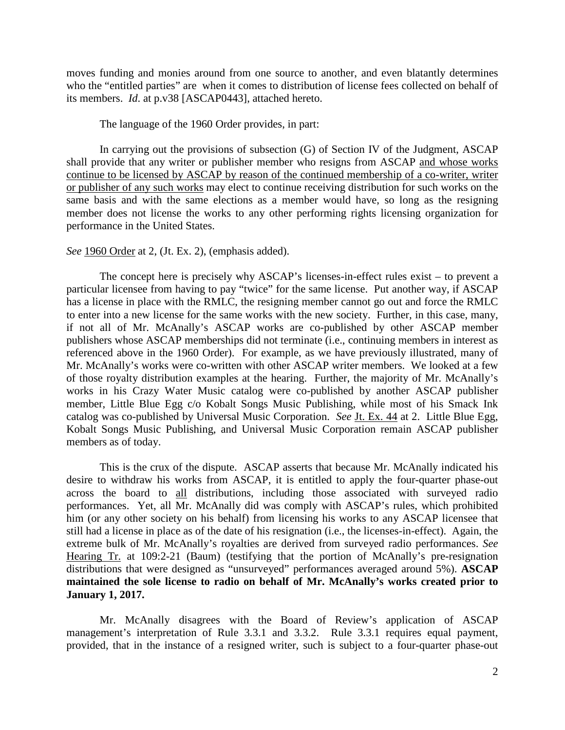moves funding and monies around from one source to another, and even blatantly determines who the "entitled parties" are when it comes to distribution of license fees collected on behalf of its members. *Id*. at p.v38 [ASCAP0443], attached hereto.

The language of the 1960 Order provides, in part:

In carrying out the provisions of subsection (G) of Section IV of the Judgment, ASCAP shall provide that any writer or publisher member who resigns from ASCAP and whose works continue to be licensed by ASCAP by reason of the continued membership of a co-writer, writer or publisher of any such works may elect to continue receiving distribution for such works on the same basis and with the same elections as a member would have, so long as the resigning member does not license the works to any other performing rights licensing organization for performance in the United States.

### *See* 1960 Order at 2, (Jt. Ex. 2), (emphasis added).

The concept here is precisely why ASCAP's licenses-in-effect rules exist – to prevent a particular licensee from having to pay "twice" for the same license. Put another way, if ASCAP has a license in place with the RMLC, the resigning member cannot go out and force the RMLC to enter into a new license for the same works with the new society. Further, in this case, many, if not all of Mr. McAnally's ASCAP works are co-published by other ASCAP member publishers whose ASCAP memberships did not terminate (i.e., continuing members in interest as referenced above in the 1960 Order). For example, as we have previously illustrated, many of Mr. McAnally's works were co-written with other ASCAP writer members. We looked at a few of those royalty distribution examples at the hearing. Further, the majority of Mr. McAnally's works in his Crazy Water Music catalog were co-published by another ASCAP publisher member, Little Blue Egg c/o Kobalt Songs Music Publishing, while most of his Smack Ink catalog was co-published by Universal Music Corporation. *See* Jt. Ex. 44 at 2. Little Blue Egg, Kobalt Songs Music Publishing, and Universal Music Corporation remain ASCAP publisher members as of today.

This is the crux of the dispute. ASCAP asserts that because Mr. McAnally indicated his desire to withdraw his works from ASCAP, it is entitled to apply the four-quarter phase-out across the board to all distributions, including those associated with surveyed radio performances. Yet, all Mr. McAnally did was comply with ASCAP's rules, which prohibited him (or any other society on his behalf) from licensing his works to any ASCAP licensee that still had a license in place as of the date of his resignation (i.e., the licenses-in-effect). Again, the extreme bulk of Mr. McAnally's royalties are derived from surveyed radio performances. *See* Hearing Tr. at 109:2-21 (Baum) (testifying that the portion of McAnally's pre-resignation distributions that were designed as "unsurveyed" performances averaged around 5%). **ASCAP maintained the sole license to radio on behalf of Mr. McAnally's works created prior to January 1, 2017.**

Mr. McAnally disagrees with the Board of Review's application of ASCAP management's interpretation of Rule 3.3.1 and 3.3.2. Rule 3.3.1 requires equal payment, provided, that in the instance of a resigned writer, such is subject to a four-quarter phase-out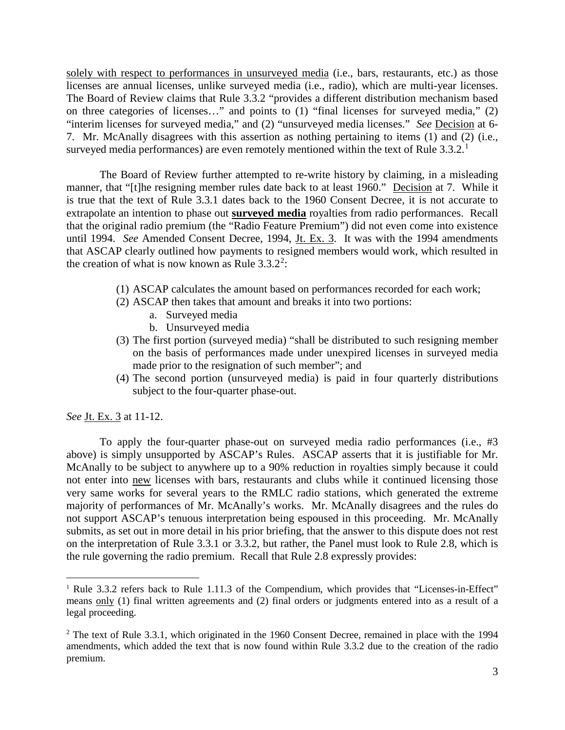solely with respect to performances in unsurveyed media (i.e., bars, restaurants, etc.) as those licenses are annual licenses, unlike surveyed media (i.e., radio), which are multi-year licenses. The Board of Review claims that Rule 3.3.2 "provides a different distribution mechanism based on three categories of licenses…" and points to (1) "final licenses for surveyed media," (2) "interim licenses for surveyed media," and (2) "unsurveyed media licenses." *See* Decision at 6- 7. Mr. McAnally disagrees with this assertion as nothing pertaining to items (1) and (2) (i.e., surveyed media performances) are even remotely mentioned within the text of Rule  $3.3.2$ .<sup>[1](#page-2-0)</sup>

The Board of Review further attempted to re-write history by claiming, in a misleading manner, that "[t]he resigning member rules date back to at least 1960." Decision at 7. While it is true that the text of Rule 3.3.1 dates back to the 1960 Consent Decree, it is not accurate to extrapolate an intention to phase out **surveyed media** royalties from radio performances. Recall that the original radio premium (the "Radio Feature Premium") did not even come into existence until 1994. *See* Amended Consent Decree, 1994, Jt. Ex. 3. It was with the 1994 amendments that ASCAP clearly outlined how payments to resigned members would work, which resulted in the creation of what is now known as Rule  $3.3.2^2$  $3.3.2^2$  $3.3.2^2$ :

- (1) ASCAP calculates the amount based on performances recorded for each work;
- (2) ASCAP then takes that amount and breaks it into two portions:
	- a. Surveyed media
	- b. Unsurveyed media
- (3) The first portion (surveyed media) "shall be distributed to such resigning member on the basis of performances made under unexpired licenses in surveyed media made prior to the resignation of such member"; and
- (4) The second portion (unsurveyed media) is paid in four quarterly distributions subject to the four-quarter phase-out.

*See* Jt. Ex. 3 at 11-12.

 $\overline{a}$ 

To apply the four-quarter phase-out on surveyed media radio performances (i.e., #3 above) is simply unsupported by ASCAP's Rules. ASCAP asserts that it is justifiable for Mr. McAnally to be subject to anywhere up to a 90% reduction in royalties simply because it could not enter into new licenses with bars, restaurants and clubs while it continued licensing those very same works for several years to the RMLC radio stations, which generated the extreme majority of performances of Mr. McAnally's works. Mr. McAnally disagrees and the rules do not support ASCAP's tenuous interpretation being espoused in this proceeding. Mr. McAnally submits, as set out in more detail in his prior briefing, that the answer to this dispute does not rest on the interpretation of Rule 3.3.1 or 3.3.2, but rather, the Panel must look to Rule 2.8, which is the rule governing the radio premium. Recall that Rule 2.8 expressly provides:

<span id="page-2-0"></span><sup>&</sup>lt;sup>1</sup> Rule 3.3.2 refers back to Rule 1.11.3 of the Compendium, which provides that "Licenses-in-Effect" means only (1) final written agreements and (2) final orders or judgments entered into as a result of a legal proceeding.

<span id="page-2-1"></span><sup>&</sup>lt;sup>2</sup> The text of Rule 3.3.1, which originated in the 1960 Consent Decree, remained in place with the 1994 amendments, which added the text that is now found within Rule 3.3.2 due to the creation of the radio premium.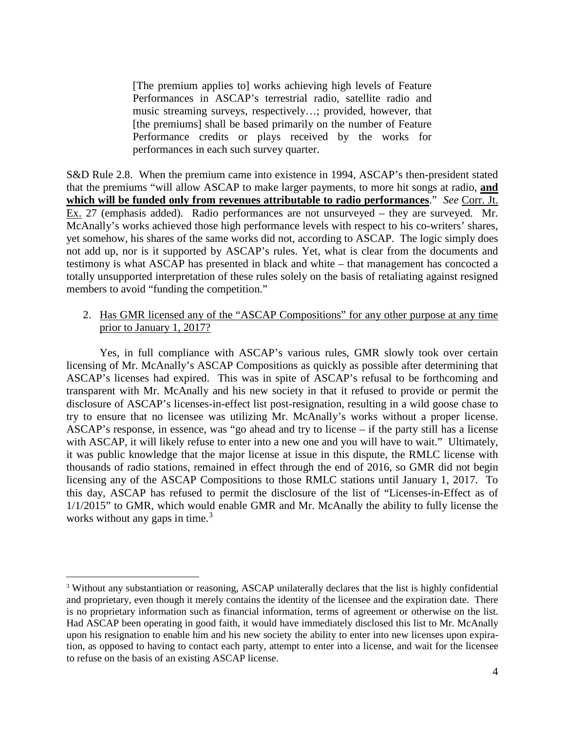[The premium applies to] works achieving high levels of Feature Performances in ASCAP's terrestrial radio, satellite radio and music streaming surveys, respectively…; provided, however, that [the premiums] shall be based primarily on the number of Feature Performance credits or plays received by the works for performances in each such survey quarter.

S&D Rule 2.8. When the premium came into existence in 1994, ASCAP's then-president stated that the premiums "will allow ASCAP to make larger payments, to more hit songs at radio, **and which will be funded only from revenues attributable to radio performances**." *See* Corr. Jt. Ex. 27 (emphasis added). Radio performances are not unsurveyed – they are surveyed. Mr. McAnally's works achieved those high performance levels with respect to his co-writers' shares, yet somehow, his shares of the same works did not, according to ASCAP. The logic simply does not add up, nor is it supported by ASCAP's rules. Yet, what is clear from the documents and testimony is what ASCAP has presented in black and white – that management has concocted a totally unsupported interpretation of these rules solely on the basis of retaliating against resigned members to avoid "funding the competition."

### 2. Has GMR licensed any of the "ASCAP Compositions" for any other purpose at any time prior to January 1, 2017?

Yes, in full compliance with ASCAP's various rules, GMR slowly took over certain licensing of Mr. McAnally's ASCAP Compositions as quickly as possible after determining that ASCAP's licenses had expired. This was in spite of ASCAP's refusal to be forthcoming and transparent with Mr. McAnally and his new society in that it refused to provide or permit the disclosure of ASCAP's licenses-in-effect list post-resignation, resulting in a wild goose chase to try to ensure that no licensee was utilizing Mr. McAnally's works without a proper license. ASCAP's response, in essence, was "go ahead and try to license – if the party still has a license with ASCAP, it will likely refuse to enter into a new one and you will have to wait." Ultimately, it was public knowledge that the major license at issue in this dispute, the RMLC license with thousands of radio stations, remained in effect through the end of 2016, so GMR did not begin licensing any of the ASCAP Compositions to those RMLC stations until January 1, 2017. To this day, ASCAP has refused to permit the disclosure of the list of "Licenses-in-Effect as of 1/1/2015" to GMR, which would enable GMR and Mr. McAnally the ability to fully license the works without any gaps in time.<sup>[3](#page-3-0)</sup>

 $\overline{a}$ 

<span id="page-3-0"></span><sup>&</sup>lt;sup>3</sup> Without any substantiation or reasoning, ASCAP unilaterally declares that the list is highly confidential and proprietary, even though it merely contains the identity of the licensee and the expiration date. There is no proprietary information such as financial information, terms of agreement or otherwise on the list. Had ASCAP been operating in good faith, it would have immediately disclosed this list to Mr. McAnally upon his resignation to enable him and his new society the ability to enter into new licenses upon expiration, as opposed to having to contact each party, attempt to enter into a license, and wait for the licensee to refuse on the basis of an existing ASCAP license.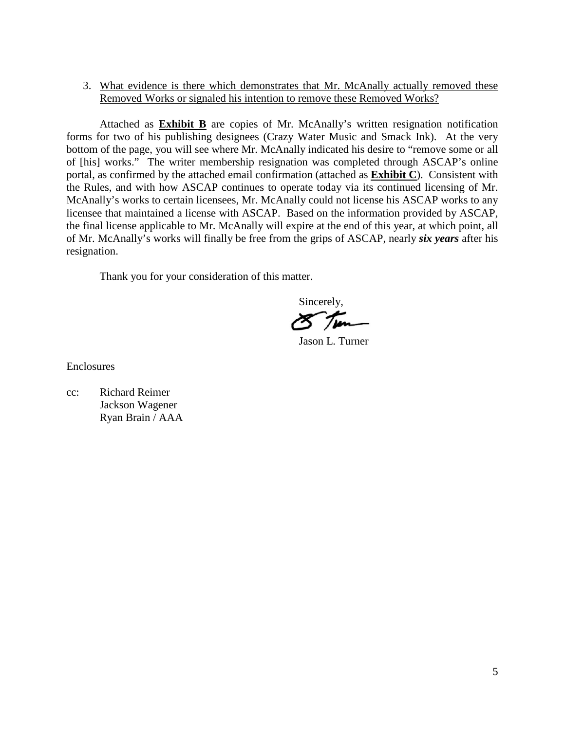### 3. What evidence is there which demonstrates that Mr. McAnally actually removed these Removed Works or signaled his intention to remove these Removed Works?

Attached as **Exhibit B** are copies of Mr. McAnally's written resignation notification forms for two of his publishing designees (Crazy Water Music and Smack Ink). At the very bottom of the page, you will see where Mr. McAnally indicated his desire to "remove some or all of [his] works." The writer membership resignation was completed through ASCAP's online portal, as confirmed by the attached email confirmation (attached as **Exhibit C**). Consistent with the Rules, and with how ASCAP continues to operate today via its continued licensing of Mr. McAnally's works to certain licensees, Mr. McAnally could not license his ASCAP works to any licensee that maintained a license with ASCAP. Based on the information provided by ASCAP, the final license applicable to Mr. McAnally will expire at the end of this year, at which point, all of Mr. McAnally's works will finally be free from the grips of ASCAP, nearly *six years* after his resignation.

Thank you for your consideration of this matter.

 Sincerely, Jason L. Turner

Enclosures

cc: Richard Reimer Jackson Wagener Ryan Brain / AAA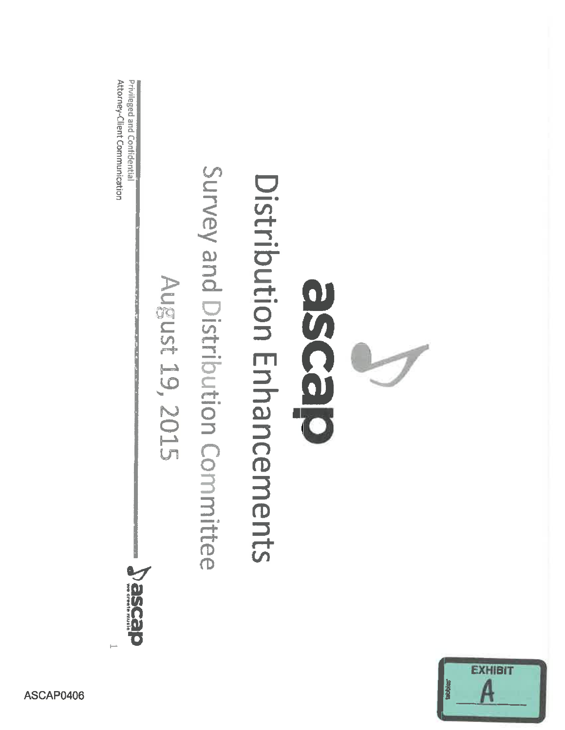

August 19, 2015

desee C



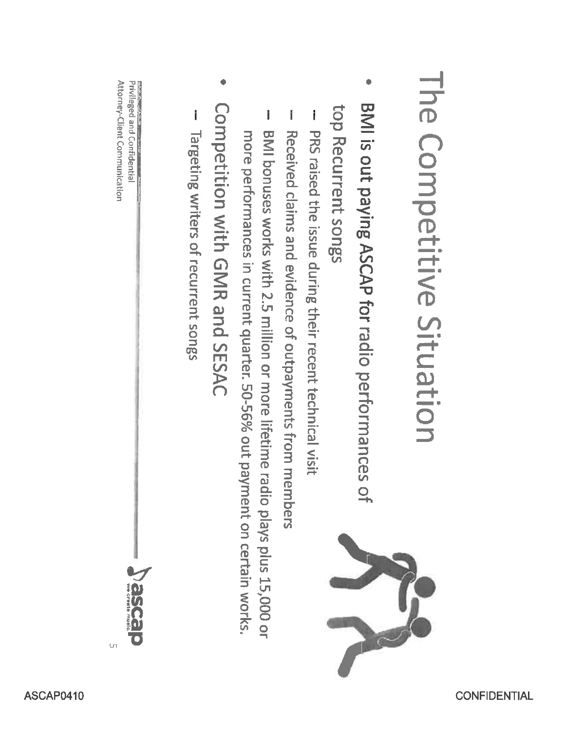# The Competitive Situation

- BMI is out paying ASCAP for radio performances of top Recurrent songs
- PRS raised the issue during their recent technical visit
- Received claims and evidence of outpayments from members
- BMI bonuses works with 2.5 million or more lifetime radio plays plus 15,000 or more performances in current quarter. 50-56% out payment on certain works.
- Competition with GMR and SESAC
- Targeting writers of recurrent songs

Attorney-Client Communication Privileged and Confidential

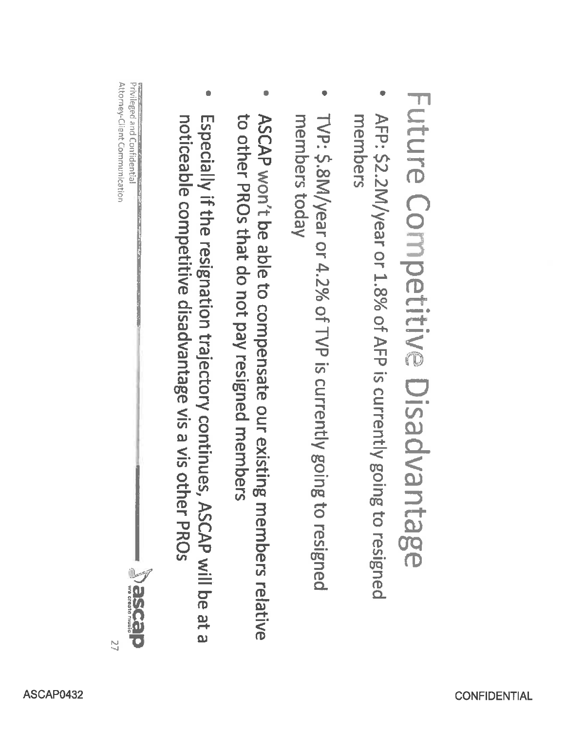# Future Competitive Disadvantage

- AFP: \$2.2M/year or 1.8% of AFP is currently going to resigned members
- TVP: \$.8M/year or 4.2% of TVP is currently going to resigned members today
- to other PROs that do not pay resigned members ASCAP won't be able to compensate our existing members relative
- Especially if the resignation trajectory continues, ASCAP will be at a noticeable competitive disadvantage vis a vis other PROs

Attorney-Client Communication Privileged and Confidentia

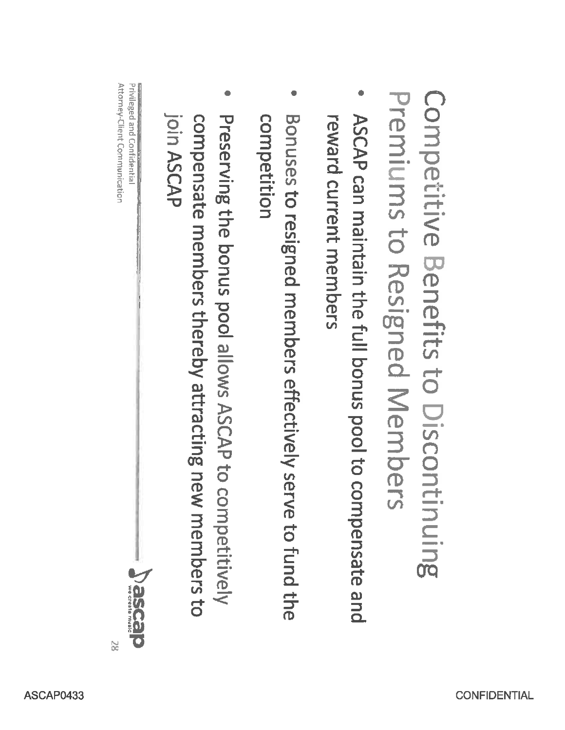Competitive Benefits to Discontinuing Premiums to Resigned Members

- ASCAP can maintain the full bonus pool to compensate and reward current members
- competition Bonuses to resigned members effectively serve to fund the
- join ASCAP Preserving the bonus pool allows ASCAP to competitively compensate members thereby attracting new members to

Attorney-Client Communication Privileged and Confidentia



 $\approx$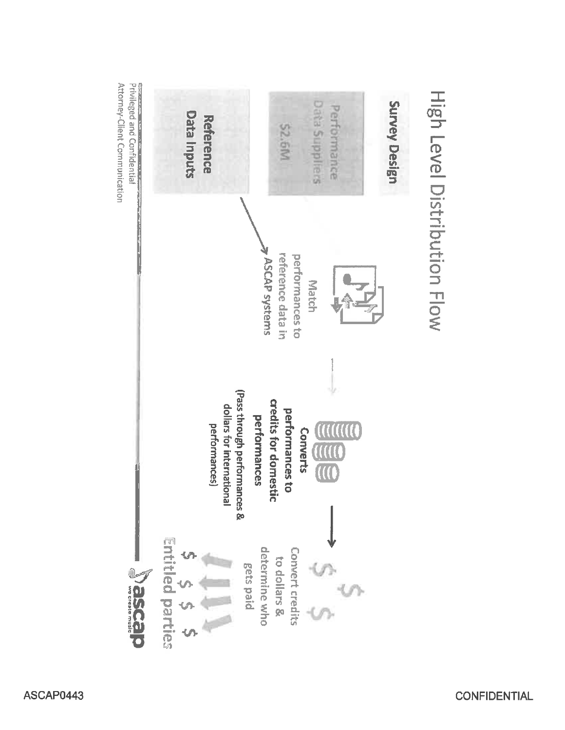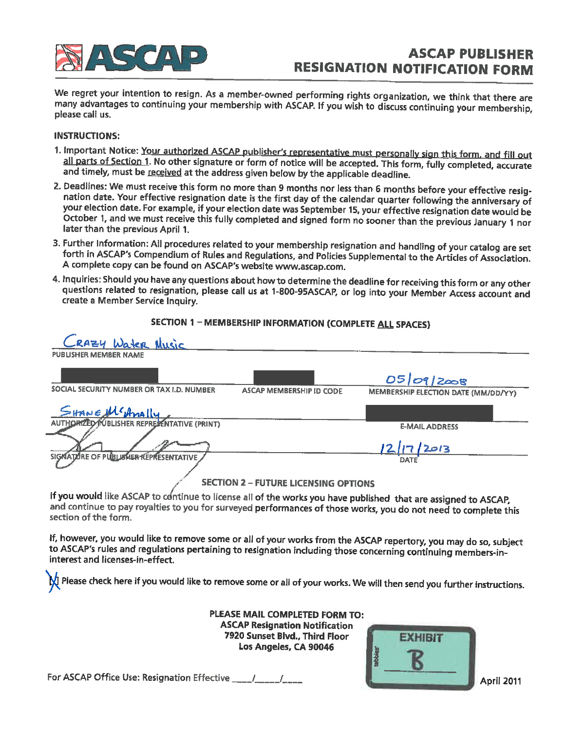

# **ASCAP PUBLISHER RESIGNATION NOTIFICATION FORM**

We regret your intention to resign. As a member-owned performing rights organization, we think that there are many advantages to continuing your membership with ASCAP. If you wish to discuss continuing your membership, please call us.

### **INSTRUCTIONS:**

- 1. Important Notice: Your authorized ASCAP publisher's representative must personally sign this form, and fill out all parts of Section 1. No other signature or form of notice will be accepted. This form, fully completed, accurate and timely, must be received at the address given below by the applicable deadline.
- 2. Deadlines: We must receive this form no more than 9 months nor less than 6 months before your effective resignation date. Your effective resignation date is the first day of the calendar quarter following the anniversary of your election date. For example, if your election date was September 15, your effective resignation date would be October 1, and we must receive this fully completed and signed form no sooner than the previous January 1 nor later than the previous April 1.
- 3. Further Information: All procedures related to your membership resignation and handling of your catalog are set forth in ASCAP's Compendium of Rules and Regulations, and Policies Supplemental to the Articles of Association. A complete copy can be found on ASCAP's website www.ascap.com.
- 4. Inquiries: Should you have any questions about how to determine the deadline for receiving this form or any other questions related to resignation, please call us at 1-800-95ASCAP, or log into your Member Access account and create a Member Service Inquiry.

### SECTION 1 - MEMBERSHIP INFORMATION (COMPLETE ALL SPACES)

| CRAZY Water Music                                                                                                                                              |                                     |
|----------------------------------------------------------------------------------------------------------------------------------------------------------------|-------------------------------------|
| <b>PUBLISHER MEMBER NAME</b>                                                                                                                                   |                                     |
|                                                                                                                                                                | 05 09 2008                          |
| SOCIAL SECURITY NUMBER OR TAX I.D. NUMBER<br><b>ASCAP MEMBERSHIP ID CODE</b>                                                                                   | MEMBERSHIP ELECTION DATE (MM/DD/YY) |
| SHANE MCAMALLY                                                                                                                                                 |                                     |
|                                                                                                                                                                | <b>E-MAIL ADDRESS</b>               |
| SIGNATURE OF PUBLISHER REPRESENTATIVE                                                                                                                          | <u>12/17/2013</u><br>DATE           |
|                                                                                                                                                                |                                     |
| <b>SECTION 2 - FUTURE LICENSING OPTIONS</b><br>and the state of the state of the state of the state of the state of the state of the state of the state of the |                                     |

If you would like ASCAP to continue to license all of the works you have published that are assigned to ASCAP, and continue to pay royalties to you for surveyed performances of those works, you do not need to complete this section of the form.

If, however, you would like to remove some or all of your works from the ASCAP repertory, you may do so, subject to ASCAP's rules and regulations pertaining to resignation including those concerning continuing members-ininterest and licenses-in-effect.

I Please check here if you would like to remove some or all of your works. We will then send you further instructions.

PLEASE MAIL COMPLETED FORM TO: **ASCAP Resignation Notification** 7920 Sunset Blvd., Third Floor Los Angeles, CA 90046



For ASCAP Office Use: Resignation Effective 1997 1997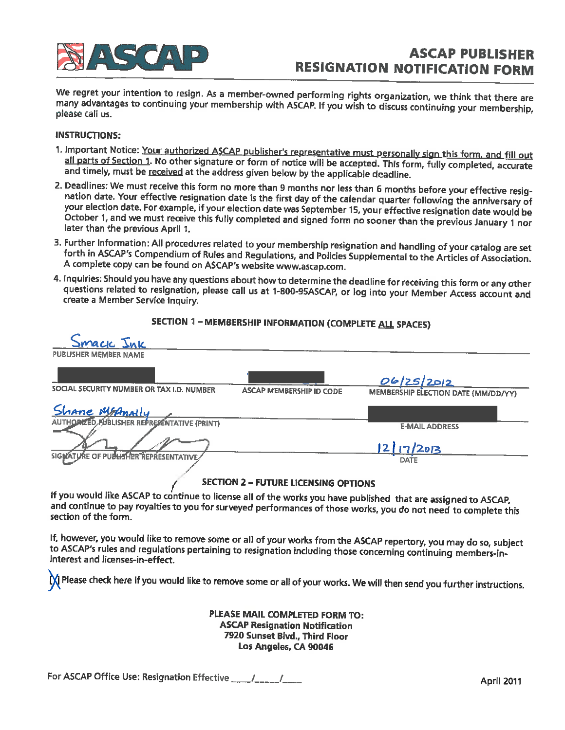

# **ASCAP PUBLISHER RESIGNATION NOTIFICATION FORM**

We regret your intention to resign. As a member-owned performing rights organization, we think that there are many advantages to continuing your membership with ASCAP. If you wish to discuss continuing your membership, please call us.

### **INSTRUCTIONS:**

- 1. Important Notice: Your authorized ASCAP publisher's representative must personally sign this form, and fill out all parts of Section 1. No other signature or form of notice will be accepted. This form, fully completed, accurate and timely, must be received at the address given below by the applicable deadline.
- 2. Deadlines: We must receive this form no more than 9 months nor less than 6 months before your effective resignation date. Your effective resignation date is the first day of the calendar quarter following the anniversary of your election date. For example, if your election date was September 15, your effective resignation date would be October 1, and we must receive this fully completed and signed form no sooner than the previous January 1 nor later than the previous April 1.
- 3. Further Information: All procedures related to your membership resignation and handling of your catalog are set forth in ASCAP's Compendium of Rules and Regulations, and Policies Supplemental to the Articles of Association. A complete copy can be found on ASCAP's website www.ascap.com.
- 4. Inquiries: Should you have any questions about how to determine the deadline for receiving this form or any other questions related to resignation, please call us at 1-800-95ASCAP, or log into your Member Access account and create a Member Service Inquiry.

SECTION 1 - MEMBERSHIP INFORMATION (COMPLETE ALL SPACES)

| Smack Juk                                   |                                 |                                     |
|---------------------------------------------|---------------------------------|-------------------------------------|
| <b>PUBLISHER MEMBER NAME</b>                |                                 |                                     |
|                                             |                                 | 06/25/2012                          |
| SOCIAL SECURITY NUMBER OR TAX I.D. NUMBER   | <b>ASCAP MEMBERSHIP ID CODE</b> | MEMBERSHIP ELECTION DATE (MM/DD/YY) |
| Shane MsAnally                              |                                 |                                     |
| AUTHORIZED PUBLISHER REPRESENTATIVE (PRINT) |                                 | <b>E-MAIL ADDRESS</b>               |
|                                             |                                 | 217/2013                            |
| SIGNATURE OF PUBLISHER REPRESENTATIVE       |                                 | <b>DATE</b>                         |
|                                             |                                 |                                     |

### **SECTION 2 - FUTURE LICENSING OPTIONS**

If you would like ASCAP to continue to license all of the works you have published that are assigned to ASCAP, and continue to pay royalties to you for surveyed performances of those works, you do not need to complete this section of the form.

If, however, you would like to remove some or all of your works from the ASCAP repertory, you may do so, subject to ASCAP's rules and regulations pertaining to resignation including those concerning continuing members-ininterest and licenses-in-effect.

M Please check here if you would like to remove some or all of your works. We will then send you further instructions.

PLEASE MAIL COMPLETED FORM TO: **ASCAP Resignation Notification** 7920 Sunset Blvd., Third Floor Los Angeles, CA 90046